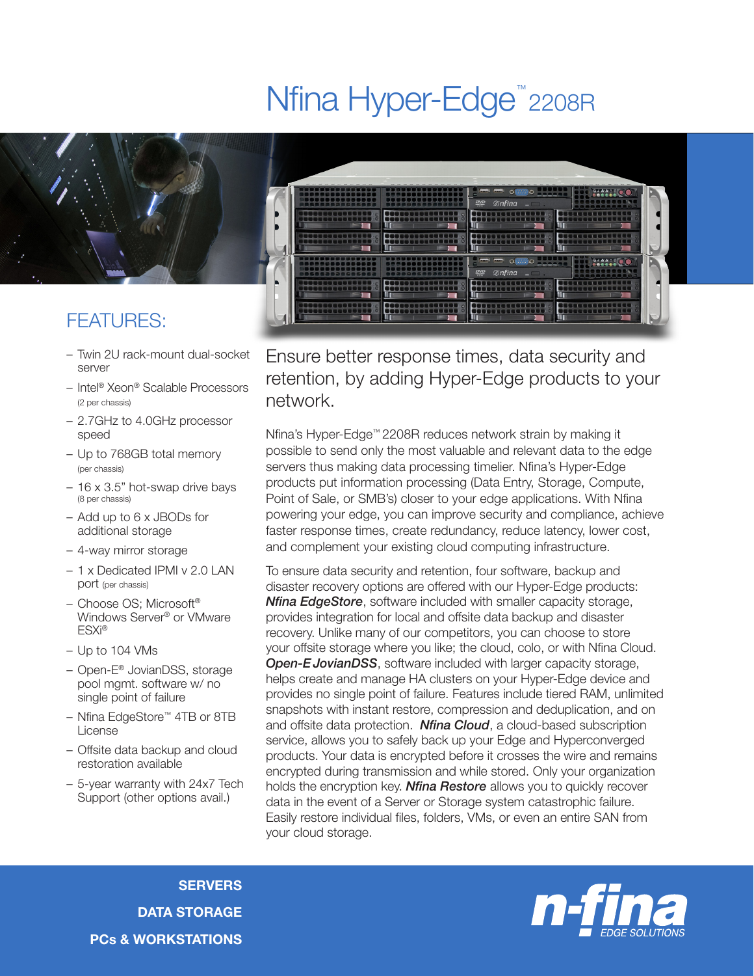# Nfina Hyper-Edge<sup>™</sup>2208R



## FEATURES:

- Twin 2U rack-mount dual-socket server
- Intel® Xeon® Scalable Processors (2 per chassis)
- 2.7GHz to 4.0GHz processor speed
- Up to 768GB total memory (per chassis)
- 16 x 3.5" hot-swap drive bays (8 per chassis)
- Add up to 6 x JBODs for additional storage
- 4-way mirror storage
- 1 x Dedicated IPMI v 2.0 LAN port (per chassis)
- Choose OS; Microsoft® Windows Server® or VMware ESXi®
- Up to 104 VMs
- Open-E® JovianDSS, storage pool mgmt. software w/ no single point of failure
- Nfina EdgeStore™ 4TB or 8TB License
- Offsite data backup and cloud restoration available
- 5-year warranty with 24x7 Tech Support (other options avail.)



Ensure better response times, data security and retention, by adding Hyper-Edge products to your network.

Nfina's Hyper-Edge™ 2208R reduces network strain by making it possible to send only the most valuable and relevant data to the edge servers thus making data processing timelier. Nfina's Hyper-Edge products put information processing (Data Entry, Storage, Compute, Point of Sale, or SMB's) closer to your edge applications. With Nfina powering your edge, you can improve security and compliance, achieve faster response times, create redundancy, reduce latency, lower cost, and complement your existing cloud computing infrastructure.

To ensure data security and retention, four software, backup and disaster recovery options are offered with our Hyper-Edge products: *Nfina EdgeStore*, software included with smaller capacity storage, provides integration for local and offsite data backup and disaster recovery. Unlike many of our competitors, you can choose to store your offsite storage where you like; the cloud, colo, or with Nfina Cloud. **Open-E JovianDSS**, software included with larger capacity storage, helps create and manage HA clusters on your Hyper-Edge device and provides no single point of failure. Features include tiered RAM, unlimited snapshots with instant restore, compression and deduplication, and on and offsite data protection. *Nfina Cloud*, a cloud-based subscription service, allows you to safely back up your Edge and Hyperconverged products. Your data is encrypted before it crosses the wire and remains encrypted during transmission and while stored. Only your organization holds the encryption key. *Nfina Restore* allows you to quickly recover data in the event of a Server or Storage system catastrophic failure. Easily restore individual files, folders, VMs, or even an entire SAN from your cloud storage.

**SERVERS** DATA STORAGE PCs & WORKSTATIONS

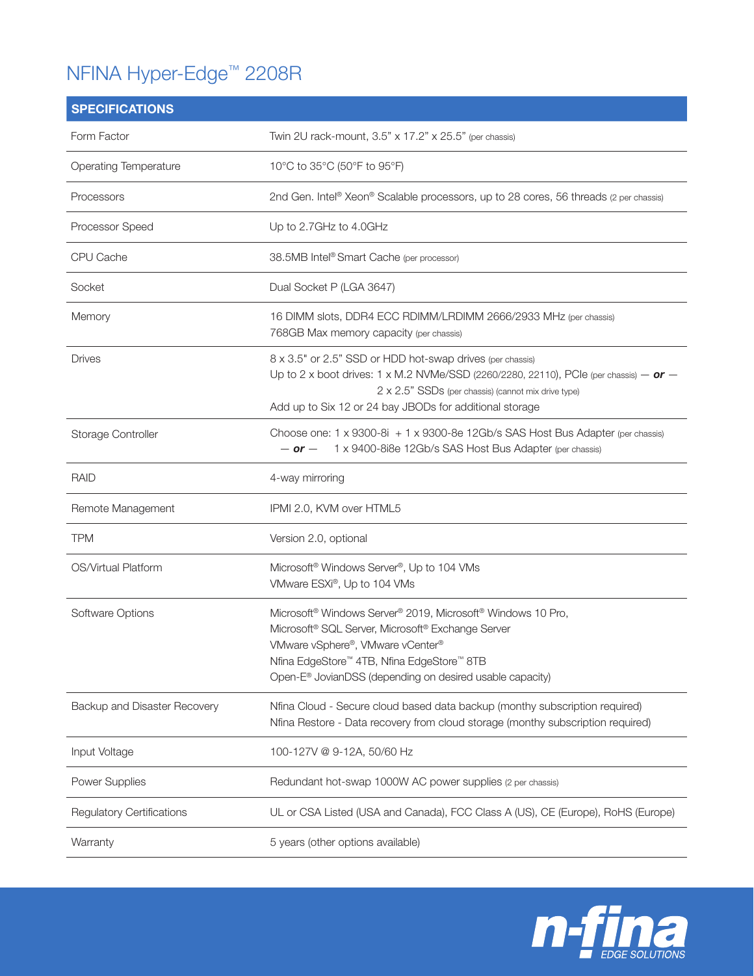# NFINA Hyper-Edge™ 2208R

| <b>SPECIFICATIONS</b>            |                                                                                                                                                                                                                                                                                                                            |
|----------------------------------|----------------------------------------------------------------------------------------------------------------------------------------------------------------------------------------------------------------------------------------------------------------------------------------------------------------------------|
| Form Factor                      | Twin 2U rack-mount, 3.5" x 17.2" x 25.5" (per chassis)                                                                                                                                                                                                                                                                     |
| <b>Operating Temperature</b>     | 10°C to 35°C (50°F to 95°F)                                                                                                                                                                                                                                                                                                |
| Processors                       | 2nd Gen. Intel® Xeon® Scalable processors, up to 28 cores, 56 threads (2 per chassis)                                                                                                                                                                                                                                      |
| Processor Speed                  | Up to 2.7GHz to 4.0GHz                                                                                                                                                                                                                                                                                                     |
| CPU Cache                        | 38.5MB Intel® Smart Cache (per processor)                                                                                                                                                                                                                                                                                  |
| Socket                           | Dual Socket P (LGA 3647)                                                                                                                                                                                                                                                                                                   |
| Memory                           | 16 DIMM slots, DDR4 ECC RDIMM/LRDIMM 2666/2933 MHz (per chassis)<br>768GB Max memory capacity (per chassis)                                                                                                                                                                                                                |
| <b>Drives</b>                    | 8 x 3.5" or 2.5" SSD or HDD hot-swap drives (per chassis)<br>Up to 2 x boot drives: 1 x M.2 NVMe/SSD (2260/2280, 22110), PCIe (per chassis) $-$ or $-$<br>2 x 2.5" SSDs (per chassis) (cannot mix drive type)<br>Add up to Six 12 or 24 bay JBODs for additional storage                                                   |
| Storage Controller               | Choose one: $1 \times 9300 - 8i + 1 \times 9300 - 8e$ 12Gb/s SAS Host Bus Adapter (per chassis)<br>1 x 9400-8i8e 12Gb/s SAS Host Bus Adapter (per chassis)<br>$-$ or $-$                                                                                                                                                   |
| <b>RAID</b>                      | 4-way mirroring                                                                                                                                                                                                                                                                                                            |
| Remote Management                | IPMI 2.0, KVM over HTML5                                                                                                                                                                                                                                                                                                   |
| <b>TPM</b>                       | Version 2.0, optional                                                                                                                                                                                                                                                                                                      |
| OS/Virtual Platform              | Microsoft <sup>®</sup> Windows Server <sup>®</sup> , Up to 104 VMs<br>VMware ESXi®, Up to 104 VMs                                                                                                                                                                                                                          |
| Software Options                 | Microsoft <sup>®</sup> Windows Server <sup>®</sup> 2019, Microsoft <sup>®</sup> Windows 10 Pro,<br>Microsoft <sup>®</sup> SQL Server, Microsoft® Exchange Server<br>VMware vSphere®, VMware vCenter®<br>Nfina EdgeStore™ 4TB, Nfina EdgeStore™ 8TB<br>Open-E <sup>®</sup> JovianDSS (depending on desired usable capacity) |
| Backup and Disaster Recovery     | Nfina Cloud - Secure cloud based data backup (monthy subscription required)<br>Nfina Restore - Data recovery from cloud storage (monthy subscription required)                                                                                                                                                             |
| Input Voltage                    | 100-127V @ 9-12A, 50/60 Hz                                                                                                                                                                                                                                                                                                 |
| Power Supplies                   | Redundant hot-swap 1000W AC power supplies (2 per chassis)                                                                                                                                                                                                                                                                 |
| <b>Regulatory Certifications</b> | UL or CSA Listed (USA and Canada), FCC Class A (US), CE (Europe), RoHS (Europe)                                                                                                                                                                                                                                            |
| Warranty                         | 5 years (other options available)                                                                                                                                                                                                                                                                                          |